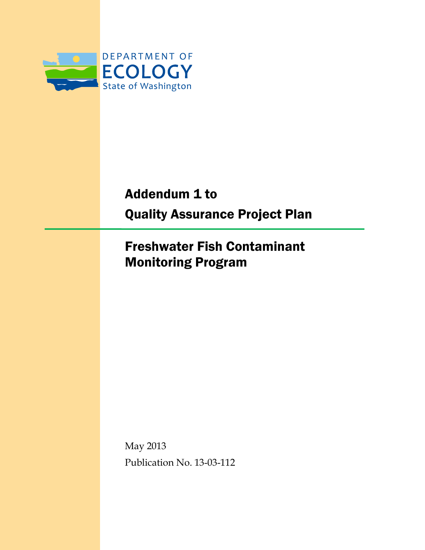

Addendum 1 to Quality Assurance Project Plan

Freshwater Fish Contaminant Monitoring Program

May 2013 Publication No. 13-03-112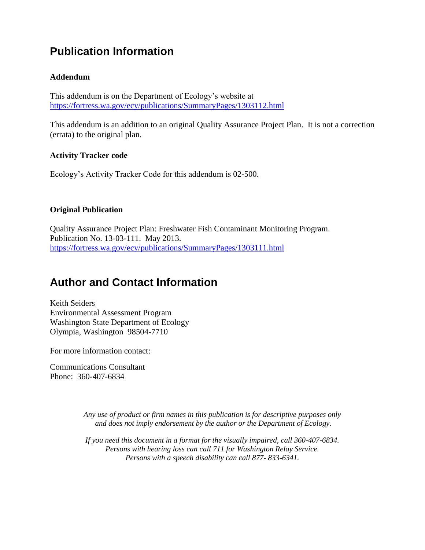### **Publication Information**

#### **Addendum**

This addendum is on the Department of Ecology's website at <https://fortress.wa.gov/ecy/publications/SummaryPages/1303112.html>

This addendum is an addition to an original Quality Assurance Project Plan. It is not a correction (errata) to the original plan.

#### **Activity Tracker code**

Ecology's Activity Tracker Code for this addendum is 02-500.

#### **Original Publication**

Quality Assurance Project Plan: Freshwater Fish Contaminant Monitoring Program. Publication No. 13-03-111. May 2013. <https://fortress.wa.gov/ecy/publications/SummaryPages/1303111.html>

### **Author and Contact Information**

Keith Seiders Environmental Assessment Program Washington State Department of Ecology Olympia, Washington 98504-7710

For more information contact:

Communications Consultant Phone: 360-407-6834

> *Any use of product or firm names in this publication is for descriptive purposes only and does not imply endorsement by the author or the Department of Ecology.*

*If you need this document in a format for the visually impaired, call 360-407-6834. Persons with hearing loss can call 711 for Washington Relay Service. Persons with a speech disability can call 877- 833-6341.*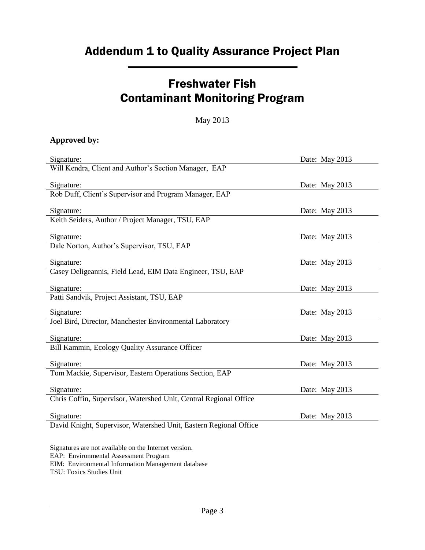# Addendum 1 to Quality Assurance Project Plan

### Freshwater Fish Contaminant Monitoring Program

#### May 2013

#### **Approved by:**

| Signature:                                                                                     | Date: May 2013 |
|------------------------------------------------------------------------------------------------|----------------|
| Will Kendra, Client and Author's Section Manager, EAP                                          |                |
| Signature:                                                                                     | Date: May 2013 |
| Rob Duff, Client's Supervisor and Program Manager, EAP                                         |                |
| Signature:                                                                                     | Date: May 2013 |
| Keith Seiders, Author / Project Manager, TSU, EAP                                              |                |
| Signature:                                                                                     | Date: May 2013 |
| Dale Norton, Author's Supervisor, TSU, EAP                                                     |                |
| Signature:                                                                                     | Date: May 2013 |
| Casey Deligeannis, Field Lead, EIM Data Engineer, TSU, EAP                                     |                |
| Signature:                                                                                     | Date: May 2013 |
| Patti Sandvik, Project Assistant, TSU, EAP                                                     |                |
| Signature:                                                                                     | Date: May 2013 |
| Joel Bird, Director, Manchester Environmental Laboratory                                       |                |
| Signature:                                                                                     | Date: May 2013 |
| Bill Kammin, Ecology Quality Assurance Officer                                                 |                |
| Signature:                                                                                     | Date: May 2013 |
| Tom Mackie, Supervisor, Eastern Operations Section, EAP                                        |                |
| Signature:                                                                                     | Date: May 2013 |
| Chris Coffin, Supervisor, Watershed Unit, Central Regional Office                              |                |
| Signature:                                                                                     | Date: May 2013 |
| David Knight, Supervisor, Watershed Unit, Eastern Regional Office                              |                |
|                                                                                                |                |
| Signatures are not available on the Internet version.<br>EAP: Environmental Assessment Program |                |

EIM: Environmental Information Management database

TSU: Toxics Studies Unit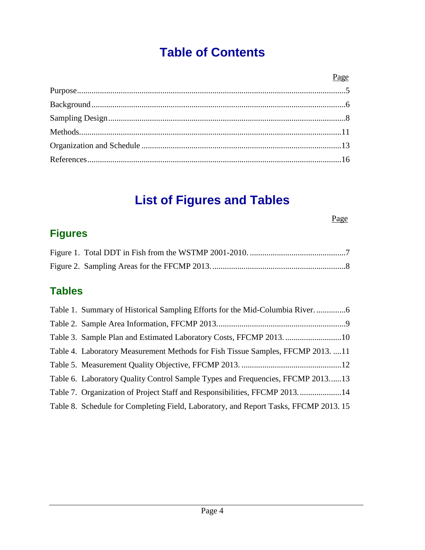# **Table of Contents**

# **List of Figures and Tables**

#### Page

### **Figures**

### **Tables**

| Table 4. Laboratory Measurement Methods for Fish Tissue Samples, FFCMP 2013. 11     |
|-------------------------------------------------------------------------------------|
|                                                                                     |
| Table 6. Laboratory Quality Control Sample Types and Frequencies, FFCMP 201313      |
|                                                                                     |
| Table 8. Schedule for Completing Field, Laboratory, and Report Tasks, FFCMP 2013.15 |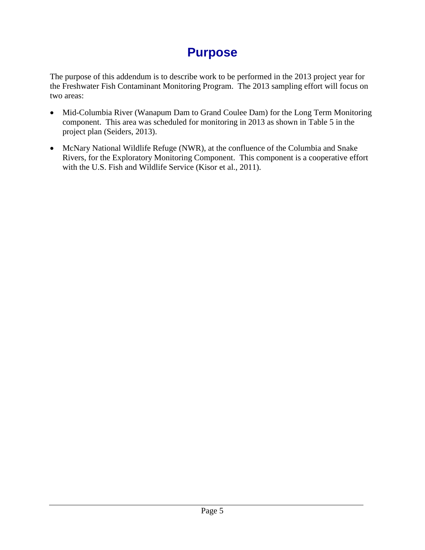## **Purpose**

<span id="page-4-0"></span>The purpose of this addendum is to describe work to be performed in the 2013 project year for the Freshwater Fish Contaminant Monitoring Program. The 2013 sampling effort will focus on two areas:

- Mid-Columbia River (Wanapum Dam to Grand Coulee Dam) for the Long Term Monitoring component. This area was scheduled for monitoring in 2013 as shown in Table 5 in the project plan (Seiders, 2013).
- McNary National Wildlife Refuge (NWR), at the confluence of the Columbia and Snake Rivers, for the Exploratory Monitoring Component. This component is a cooperative effort with the U.S. Fish and Wildlife Service (Kisor et al., 2011).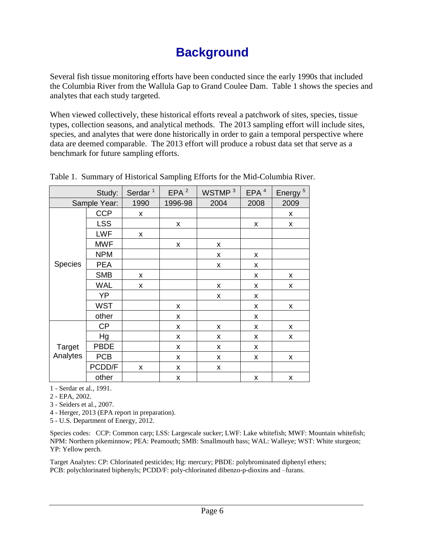## **Background**

<span id="page-5-0"></span>Several fish tissue monitoring efforts have been conducted since the early 1990s that included the Columbia River from the Wallula Gap to Grand Coulee Dam. Table 1 shows the species and analytes that each study targeted.

When viewed collectively, these historical efforts reveal a patchwork of sites, species, tissue types, collection seasons, and analytical methods. The 2013 sampling effort will include sites, species, and analytes that were done historically in order to gain a temporal perspective where data are deemed comparable. The 2013 effort will produce a robust data set that serve as a benchmark for future sampling efforts.

|                | Study:      | Serdar <sup>1</sup> | EPA <sup>2</sup> | WSTMP <sup>3</sup> | EPA <sup>4</sup> | Energy <sup>5</sup> |
|----------------|-------------|---------------------|------------------|--------------------|------------------|---------------------|
| Sample Year:   |             | 1990                | 1996-98          | 2004               | 2008             | 2009                |
|                | <b>CCP</b>  | X                   |                  |                    |                  | x                   |
|                | <b>LSS</b>  |                     | X                |                    | X                | X                   |
|                | <b>LWF</b>  | X                   |                  |                    |                  |                     |
|                | <b>MWF</b>  |                     | X                | X                  |                  |                     |
|                | <b>NPM</b>  |                     |                  | X                  | X                |                     |
| <b>Species</b> | <b>PEA</b>  |                     |                  | X                  | X                |                     |
|                | <b>SMB</b>  | x                   |                  |                    | X                | X                   |
|                | <b>WAL</b>  | X                   |                  | X                  | X                | X                   |
|                | YP          |                     |                  | X                  | X                |                     |
|                | <b>WST</b>  |                     | X                |                    | x                | X                   |
|                | other       |                     | X                |                    | X                |                     |
|                | <b>CP</b>   |                     | Χ                | X                  | x                | X                   |
|                | Hg          |                     | Χ                | X                  | X                | X                   |
| Target         | <b>PBDE</b> |                     | X                | X                  | X                |                     |
| Analytes       | <b>PCB</b>  |                     | x                | X                  | X                | x                   |
|                | PCDD/F      | X                   | X                | X                  |                  |                     |
|                | other       |                     | X                |                    | Χ                | x                   |

<span id="page-5-1"></span>Table 1. Summary of Historical Sampling Efforts for the Mid-Columbia River.

1 - Serdar et al., 1991.

2 - EPA, 2002.

3 - Seiders et al., 2007.

4 - Herger, 2013 (EPA report in preparation).

5 - U.S. Department of Energy, 2012.

Species codes: CCP: Common carp; LSS: Largescale sucker; LWF: Lake whitefish; MWF: Mountain whitefish; NPM: Northern pikeminnow; PEA: Peamouth; SMB: Smallmouth bass; WAL: Walleye; WST: White sturgeon; YP: Yellow perch.

Target Analytes: CP: Chlorinated pesticides; Hg: mercury; PBDE: polybrominated diphenyl ethers; PCB: polychlorinated biphenyls; PCDD/F: poly-chlorinated dibenzo-p-dioxins and –furans.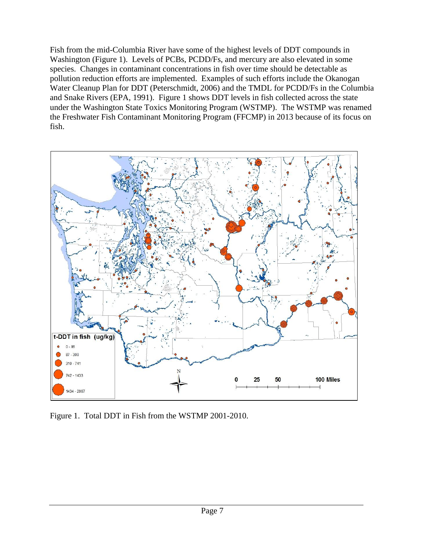Fish from the mid-Columbia River have some of the highest levels of DDT compounds in Washington (Figure 1). Levels of PCBs, PCDD/Fs, and mercury are also elevated in some species. Changes in contaminant concentrations in fish over time should be detectable as pollution reduction efforts are implemented. Examples of such efforts include the Okanogan Water Cleanup Plan for DDT (Peterschmidt, 2006) and the TMDL for PCDD/Fs in the Columbia and Snake Rivers (EPA, 1991). Figure 1 shows DDT levels in fish collected across the state under the Washington State Toxics Monitoring Program (WSTMP). The WSTMP was renamed the Freshwater Fish Contaminant Monitoring Program (FFCMP) in 2013 because of its focus on fish.



<span id="page-6-0"></span>Figure 1. Total DDT in Fish from the WSTMP 2001-2010.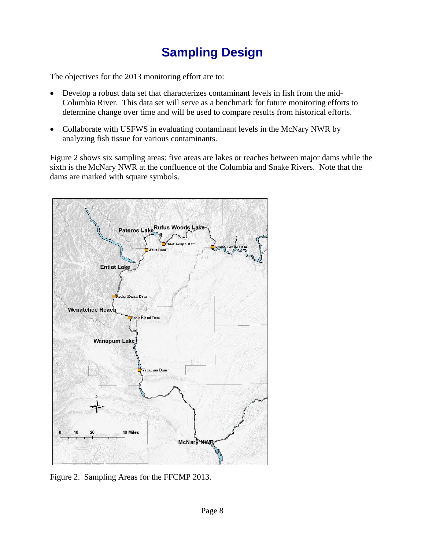# **Sampling Design**

<span id="page-7-0"></span>The objectives for the 2013 monitoring effort are to:

- Develop a robust data set that characterizes contaminant levels in fish from the mid-Columbia River. This data set will serve as a benchmark for future monitoring efforts to determine change over time and will be used to compare results from historical efforts.
- Collaborate with USFWS in evaluating contaminant levels in the McNary NWR by analyzing fish tissue for various contaminants.

Figure 2 shows six sampling areas: five areas are lakes or reaches between major dams while the sixth is the McNary NWR at the confluence of the Columbia and Snake Rivers. Note that the dams are marked with square symbols.



<span id="page-7-1"></span>Figure 2. Sampling Areas for the FFCMP 2013.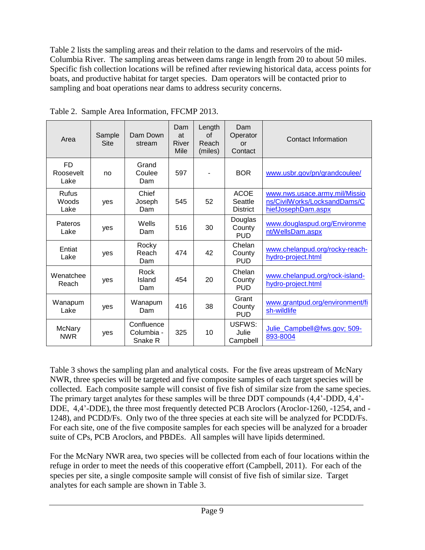Table 2 lists the sampling areas and their relation to the dams and reservoirs of the mid-Columbia River. The sampling areas between dams range in length from 20 to about 50 miles. Specific fish collection locations will be refined after reviewing historical data, access points for boats, and productive habitat for target species. Dam operators will be contacted prior to sampling and boat operations near dams to address security concerns.

| Area                           | Sample<br>Site | Dam Down<br>stream                  | Dam<br>at<br>River<br>Mile | Length<br>of<br>Reach<br>(miles) | Dam<br>Operator<br>or<br>Contact          | <b>Contact Information</b>                                                          |
|--------------------------------|----------------|-------------------------------------|----------------------------|----------------------------------|-------------------------------------------|-------------------------------------------------------------------------------------|
| <b>FD</b><br>Roosevelt<br>Lake | no             | Grand<br>Coulee<br>Dam              | 597                        |                                  | <b>BOR</b>                                | www.usbr.gov/pn/grandcoulee/                                                        |
| <b>Rufus</b><br>Woods<br>Lake  | ves            | Chief<br>Joseph<br>Dam              | 545                        | 52                               | <b>ACOE</b><br>Seattle<br><b>District</b> | www.nws.usace.army.mil/Missio<br>ns/CivilWorks/LocksandDams/C<br>hiefJosephDam.aspx |
| Pateros<br>Lake                | yes            | Wells<br>Dam                        | 516                        | 30                               | Douglas<br>County<br><b>PUD</b>           | www.douglaspud.org/Environme<br>nt/WellsDam.aspx                                    |
| Entiat<br>Lake                 | ves            | Rocky<br>Reach<br>Dam               | 474                        | 42                               | Chelan<br>County<br><b>PUD</b>            | www.chelanpud.org/rocky-reach-<br>hydro-project.html                                |
| Wenatchee<br>Reach             | ves            | Rock<br>Island<br>Dam               | 454                        | 20                               | Chelan<br>County<br><b>PUD</b>            | www.chelanpud.org/rock-island-<br>hydro-project.html                                |
| Wanapum<br>Lake                | yes            | Wanapum<br>Dam                      | 416                        | 38                               | Grant<br>County<br><b>PUD</b>             | www.grantpud.org/environment/fi<br>sh-wildlife                                      |
| <b>McNary</b><br><b>NWR</b>    | yes            | Confluence<br>Columbia -<br>Snake R | 325                        | 10                               | USFWS:<br>Julie<br>Campbell               | Julie_Campbell@fws.gov; 509-<br>893-8004                                            |

<span id="page-8-0"></span>Table 2. Sample Area Information, FFCMP 2013.

Table 3 shows the sampling plan and analytical costs. For the five areas upstream of McNary NWR, three species will be targeted and five composite samples of each target species will be collected. Each composite sample will consist of five fish of similar size from the same species. The primary target analytes for these samples will be three DDT compounds (4,4'-DDD, 4,4'- DDE, 4,4'-DDE), the three most frequently detected PCB Aroclors (Aroclor-1260, -1254, and - 1248), and PCDD/Fs. Only two of the three species at each site will be analyzed for PCDD/Fs. For each site, one of the five composite samples for each species will be analyzed for a broader suite of CPs, PCB Aroclors, and PBDEs. All samples will have lipids determined.

For the McNary NWR area, two species will be collected from each of four locations within the refuge in order to meet the needs of this cooperative effort (Campbell, 2011). For each of the species per site, a single composite sample will consist of five fish of similar size. Target analytes for each sample are shown in Table 3.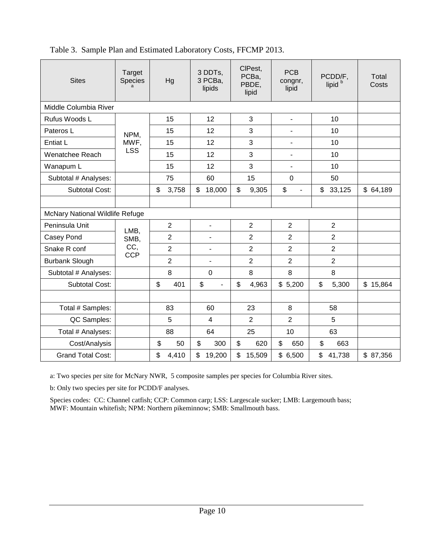| <b>Sites</b>                    | Target<br>Species | Hg                              | 3 DDTs.<br>3 PCBa.<br>lipids | CIPest,<br>PCBa.<br>PBDE,<br>lipid | <b>PCB</b><br>congnr,<br>lipid | PCDD/F.<br>lipid | Total<br>Costs |
|---------------------------------|-------------------|---------------------------------|------------------------------|------------------------------------|--------------------------------|------------------|----------------|
| Middle Columbia River           |                   |                                 |                              |                                    |                                |                  |                |
| Rufus Woods L                   |                   | 15                              | 12                           | 3                                  | $\blacksquare$                 | 10               |                |
| Pateros L                       | NPM,              | 15                              | 12                           | 3                                  |                                | 10               |                |
| Entiat L                        | MWF,              | 15                              | 12                           | 3                                  | $\overline{\phantom{0}}$       | 10               |                |
| Wenatchee Reach                 | <b>LSS</b>        | 15                              | 12                           | 3                                  | $\blacksquare$                 | 10               |                |
| Wanapum L                       |                   | 15                              | 12                           | 3                                  | $\overline{\phantom{a}}$       | 10               |                |
| Subtotal # Analyses:            |                   | 75                              | 60                           | 15                                 | $\mathbf 0$                    | 50               |                |
| <b>Subtotal Cost:</b>           |                   | \$<br>3,758                     | \$<br>18,000                 | \$<br>9,305                        | \$<br>$\blacksquare$           | \$<br>33,125     | \$64,189       |
|                                 |                   |                                 |                              |                                    |                                |                  |                |
| McNary National Wildlife Refuge |                   |                                 |                              |                                    |                                |                  |                |
| Peninsula Unit                  | LMB,              | $\overline{2}$                  | $\blacksquare$               | $\overline{2}$                     | $\overline{2}$                 | $\overline{2}$   |                |
| Casey Pond                      | SMB,              | $\overline{2}$                  | ٠                            | $\overline{2}$                     | $\overline{2}$                 | $\overline{2}$   |                |
| Snake R conf                    | CC,<br><b>CCP</b> | $\overline{2}$                  |                              | $\overline{2}$                     | 2                              | $\overline{2}$   |                |
| <b>Burbank Slough</b>           |                   | $\overline{2}$                  |                              | $\overline{2}$                     | $\overline{2}$                 | $\overline{2}$   |                |
| Subtotal # Analyses:            |                   | 8                               | $\mathbf 0$                  | 8                                  | 8                              | 8                |                |
| <b>Subtotal Cost:</b>           |                   | \$<br>401                       | \$<br>$\blacksquare$         | \$<br>4,963                        | \$5,200                        | \$<br>5,300      | \$15,864       |
|                                 |                   |                                 |                              |                                    |                                |                  |                |
| Total # Samples:                |                   | 83                              | 60                           | 23                                 | 8                              | 58               |                |
| QC Samples:                     |                   | 5                               | $\overline{4}$               | $\overline{2}$                     | $\overline{2}$                 | 5                |                |
| Total # Analyses:               |                   | 88                              | 64                           | 25                                 | 10                             | 63               |                |
| Cost/Analysis                   |                   | $\boldsymbol{\mathsf{S}}$<br>50 | \$<br>300                    | \$<br>620                          | \$<br>650                      | \$<br>663        |                |
| <b>Grand Total Cost:</b>        |                   | \$<br>4,410                     | \$<br>19,200                 | \$<br>15,509                       | \$6,500                        | \$<br>41,738     | \$87,356       |

<span id="page-9-0"></span>Table 3. Sample Plan and Estimated Laboratory Costs, FFCMP 2013.

a: Two species per site for McNary NWR, 5 composite samples per species for Columbia River sites.

b: Only two species per site for PCDD/F analyses.

Species codes: CC: Channel catfish; CCP: Common carp; LSS: Largescale sucker; LMB: Largemouth bass; MWF: Mountain whitefish; NPM: Northern pikeminnow; SMB: Smallmouth bass.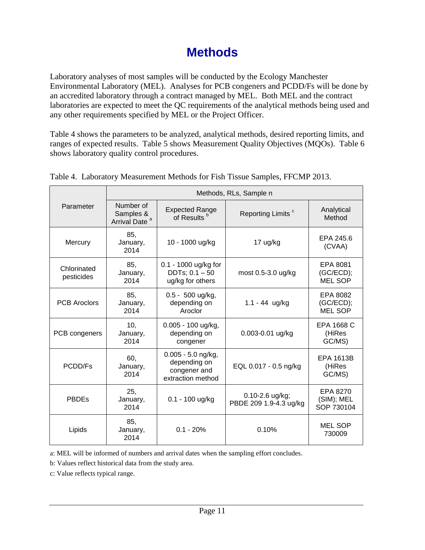## **Methods**

<span id="page-10-0"></span>Laboratory analyses of most samples will be conducted by the Ecology Manchester Environmental Laboratory (MEL). Analyses for PCB congeners and PCDD/Fs will be done by an accredited laboratory through a contract managed by MEL. Both MEL and the contract laboratories are expected to meet the QC requirements of the analytical methods being used and any other requirements specified by MEL or the Project Officer.

Table 4 shows the parameters to be analyzed, analytical methods, desired reporting limits, and ranges of expected results. Table 5 shows Measurement Quality Objectives (MQOs). Table 6 shows laboratory quality control procedures.

|                           |                                                     | Methods, RLs, Sample n                                                  |                                           |                                         |  |  |  |
|---------------------------|-----------------------------------------------------|-------------------------------------------------------------------------|-------------------------------------------|-----------------------------------------|--|--|--|
| Parameter                 | Number of<br>Samples &<br>Arrival Date <sup>a</sup> | <b>Expected Range</b><br>of Results <sup>b</sup>                        | Reporting Limits <sup>c</sup>             | Analytical<br>Method                    |  |  |  |
| Mercury                   | 85.<br>January,<br>2014                             | 10 - 1000 ug/kg                                                         | 17 ug/kg                                  | EPA 245.6<br>(CVAA)                     |  |  |  |
| Chlorinated<br>pesticides | 85,<br>January,<br>2014                             | $0.1 - 1000$ ug/kg for<br>$DDTs$ ; $0.1 - 50$<br>ug/kg for others       | most 0.5-3.0 ug/kg                        | EPA 8081<br>(GC/ECD);<br><b>MEL SOP</b> |  |  |  |
| <b>PCB Aroclors</b>       | 85,<br>January,<br>2014                             | 0.5 - 500 ug/kg,<br>depending on<br>Aroclor                             | $1.1 - 44$ ug/kg                          | EPA 8082<br>(GC/ECD);<br><b>MEL SOP</b> |  |  |  |
| PCB congeners             | 10,<br>January,<br>2014                             | 0.005 - 100 ug/kg,<br>depending on<br>congener                          | 0.003-0.01 ug/kg                          | EPA 1668 C<br>(HiRes<br>GC/MS)          |  |  |  |
| PCDD/Fs                   | 60,<br>January,<br>2014                             | 0.005 - 5.0 ng/kg,<br>depending on<br>congener and<br>extraction method | EQL 0.017 - 0.5 ng/kg                     | <b>EPA 1613B</b><br>(HiRes<br>GC/MS)    |  |  |  |
| <b>PBDEs</b>              | 25,<br>January,<br>2014                             | $0.1 - 100$ ug/kg                                                       | 0.10-2.6 ug/kg;<br>PBDE 209 1.9-4.3 ug/kg | EPA 8270<br>(SIM); MEL<br>SOP 730104    |  |  |  |
| Lipids                    | 85,<br>January,<br>2014                             | $0.1 - 20%$                                                             | 0.10%                                     | <b>MEL SOP</b><br>730009                |  |  |  |

<span id="page-10-1"></span>

|  | Table 4. Laboratory Measurement Methods for Fish Tissue Samples, FFCMP 2013. |  |  |  |
|--|------------------------------------------------------------------------------|--|--|--|
|  |                                                                              |  |  |  |

a: MEL will be informed of numbers and arrival dates when the sampling effort concludes.

b: Values reflect historical data from the study area.

c: Value reflects typical range.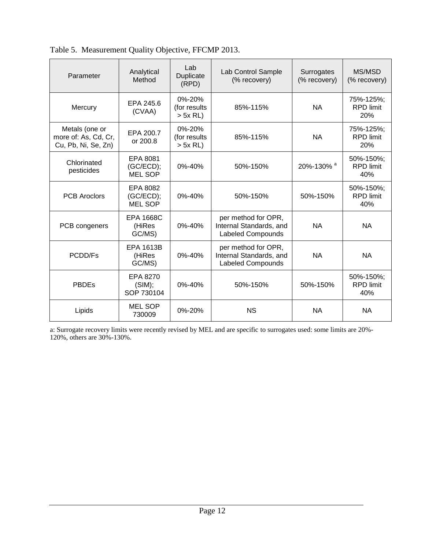| Parameter                                                     | Analytical<br>Method                    | Lab<br>Duplicate<br>(RPD)                  | Lab Control Sample<br>(% recovery)                                         | Surrogates<br>(% recovery) | MS/MSD<br>(% recovery)               |
|---------------------------------------------------------------|-----------------------------------------|--------------------------------------------|----------------------------------------------------------------------------|----------------------------|--------------------------------------|
| Mercury                                                       | EPA 245.6<br>(CVAA)                     | $0\% - 20\%$<br>(for results<br>$> 5x$ RL) | 85%-115%                                                                   | <b>NA</b>                  | 75%-125%;<br><b>RPD</b> limit<br>20% |
| Metals (one or<br>more of: As, Cd, Cr,<br>Cu, Pb, Ni, Se, Zn) | EPA 200.7<br>or 200.8                   | $0\% - 20\%$<br>(for results<br>$> 5x$ RL) | 85%-115%                                                                   | <b>NA</b>                  | 75%-125%;<br><b>RPD</b> limit<br>20% |
| Chlorinated<br>pesticides                                     | EPA 8081<br>(GC/ECD);<br><b>MEL SOP</b> | 0%-40%                                     | 50%-150%                                                                   | 20%-130% <sup>a</sup>      | 50%-150%;<br><b>RPD</b> limit<br>40% |
| <b>PCB Aroclors</b>                                           | EPA 8082<br>(GC/ECD);<br><b>MEL SOP</b> | 0%-40%                                     | 50%-150%                                                                   | 50%-150%                   | 50%-150%;<br><b>RPD</b> limit<br>40% |
| PCB congeners                                                 | EPA 1668C<br>(HiRes<br>GC/MS)           | 0%-40%                                     | per method for OPR,<br>Internal Standards, and<br><b>Labeled Compounds</b> | <b>NA</b>                  | <b>NA</b>                            |
| PCDD/Fs                                                       | <b>EPA 1613B</b><br>(HiRes<br>GC/MS)    | 0%-40%                                     | per method for OPR,<br>Internal Standards, and<br><b>Labeled Compounds</b> | <b>NA</b>                  | <b>NA</b>                            |
| <b>PBDEs</b>                                                  | EPA 8270<br>(SIM);<br>SOP 730104        | $0\% - 40\%$                               | 50%-150%                                                                   | 50%-150%                   | 50%-150%;<br><b>RPD</b> limit<br>40% |
| Lipids                                                        | <b>MEL SOP</b><br>730009                | 0%-20%                                     | <b>NS</b>                                                                  | <b>NA</b>                  | <b>NA</b>                            |

<span id="page-11-0"></span>

| Table 5. Measurement Quality Objective, FFCMP 2013. |  |  |  |  |  |  |
|-----------------------------------------------------|--|--|--|--|--|--|
|-----------------------------------------------------|--|--|--|--|--|--|

a: Surrogate recovery limits were recently revised by MEL and are specific to surrogates used: some limits are 20%- 120%, others are 30%-130%.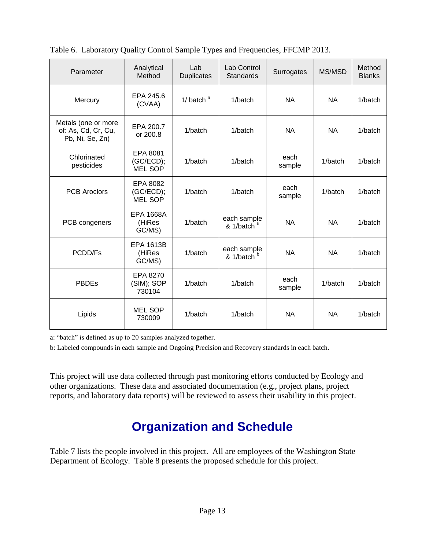| Parameter                                                     | Analytical<br>Method                    | Lab<br><b>Duplicates</b> | Lab Control<br>Standards              | Surrogates     | MS/MSD    | Method<br><b>Blanks</b> |
|---------------------------------------------------------------|-----------------------------------------|--------------------------|---------------------------------------|----------------|-----------|-------------------------|
| Mercury                                                       | EPA 245.6<br>(CVAA)                     | 1/ $b$ atch <sup>a</sup> | 1/batch                               | <b>NA</b>      | <b>NA</b> | 1/batch                 |
| Metals (one or more<br>of: As, Cd, Cr, Cu,<br>Pb, Ni, Se, Zn) | EPA 200.7<br>or 200.8                   | 1/batch                  | 1/batch                               | <b>NA</b>      | <b>NA</b> | 1/batch                 |
| Chlorinated<br>pesticides                                     | EPA 8081<br>(GC/ECD);<br><b>MEL SOP</b> | 1/batch                  | 1/batch                               | each<br>sample | 1/batch   | 1/batch                 |
| <b>PCB Aroclors</b>                                           | EPA 8082<br>(GC/ECD);<br><b>MEL SOP</b> | 1/batch                  | 1/batch                               | each<br>sample | 1/batch   | 1/batch                 |
| PCB congeners                                                 | <b>EPA 1668A</b><br>(HiRes<br>GC/MS)    | 1/batch                  | each sample<br>& 1/batch <sup>b</sup> | <b>NA</b>      | <b>NA</b> | 1/batch                 |
| PCDD/Fs                                                       | <b>EPA 1613B</b><br>(HiRes<br>GC/MS)    | 1/batch                  | each sample<br>& 1/batch <sup>b</sup> | <b>NA</b>      | <b>NA</b> | 1/batch                 |
| <b>PBDEs</b>                                                  | EPA 8270<br>(SIM); SOP<br>730104        | 1/batch                  | 1/batch                               | each<br>sample | 1/batch   | 1/batch                 |
| Lipids                                                        | <b>MEL SOP</b><br>730009                | 1/batch                  | 1/batch                               | <b>NA</b>      | <b>NA</b> | 1/batch                 |

<span id="page-12-1"></span>Table 6. Laboratory Quality Control Sample Types and Frequencies, FFCMP 2013.

a: "batch" is defined as up to 20 samples analyzed together.

b: Labeled compounds in each sample and Ongoing Precision and Recovery standards in each batch.

This project will use data collected through past monitoring efforts conducted by Ecology and other organizations. These data and associated documentation (e.g., project plans, project reports, and laboratory data reports) will be reviewed to assess their usability in this project.

## **Organization and Schedule**

<span id="page-12-0"></span>Table 7 lists the people involved in this project. All are employees of the Washington State Department of Ecology. Table 8 presents the proposed schedule for this project.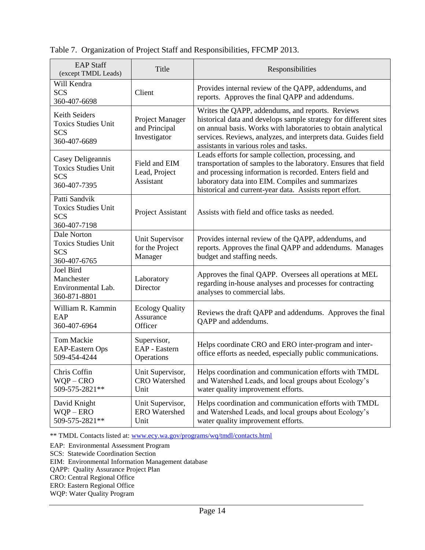| <b>EAP Staff</b><br>(except TMDL Leads)                                       | Title                                            | Responsibilities                                                                                                                                                                                                                                                                                     |  |
|-------------------------------------------------------------------------------|--------------------------------------------------|------------------------------------------------------------------------------------------------------------------------------------------------------------------------------------------------------------------------------------------------------------------------------------------------------|--|
| Will Kendra<br><b>SCS</b><br>360-407-6698                                     | Client                                           | Provides internal review of the QAPP, addendums, and<br>reports. Approves the final QAPP and addendums.                                                                                                                                                                                              |  |
| Keith Seiders<br><b>Toxics Studies Unit</b><br><b>SCS</b><br>360-407-6689     | Project Manager<br>and Principal<br>Investigator | Writes the QAPP, addendums, and reports. Reviews<br>historical data and develops sample strategy for different sites<br>on annual basis. Works with laboratories to obtain analytical<br>services. Reviews, analyzes, and interprets data. Guides field<br>assistants in various roles and tasks.    |  |
| Casey Deligeannis<br><b>Toxics Studies Unit</b><br><b>SCS</b><br>360-407-7395 | Field and EIM<br>Lead, Project<br>Assistant      | Leads efforts for sample collection, processing, and<br>transportation of samples to the laboratory. Ensures that field<br>and processing information is recorded. Enters field and<br>laboratory data into EIM. Compiles and summarizes<br>historical and current-year data. Assists report effort. |  |
| Patti Sandvik<br><b>Toxics Studies Unit</b><br><b>SCS</b><br>360-407-7198     | Project Assistant                                | Assists with field and office tasks as needed.                                                                                                                                                                                                                                                       |  |
| Dale Norton<br><b>Toxics Studies Unit</b><br><b>SCS</b><br>360-407-6765       | Unit Supervisor<br>for the Project<br>Manager    | Provides internal review of the QAPP, addendums, and<br>reports. Approves the final QAPP and addendums. Manages<br>budget and staffing needs.                                                                                                                                                        |  |
| Joel Bird<br>Manchester<br>Environmental Lab.<br>360-871-8801                 | Laboratory<br><b>Director</b>                    | Approves the final QAPP. Oversees all operations at MEL<br>regarding in-house analyses and processes for contracting<br>analyses to commercial labs.                                                                                                                                                 |  |
| William R. Kammin<br>EAP<br>360-407-6964                                      | <b>Ecology Quality</b><br>Assurance<br>Officer   | Reviews the draft QAPP and addendums. Approves the final<br>QAPP and addendums.                                                                                                                                                                                                                      |  |
| <b>Tom Mackie</b><br><b>EAP-Eastern Ops</b><br>509-454-4244                   | Supervisor,<br>EAP - Eastern<br>Operations       | Helps coordinate CRO and ERO inter-program and inter-<br>office efforts as needed, especially public communications.                                                                                                                                                                                 |  |
| Chris Coffin<br>$WOP - CRO$<br>509-575-2821**                                 | Unit Supervisor,<br><b>CRO</b> Watershed<br>Unit | Helps coordination and communication efforts with TMDL<br>and Watershed Leads, and local groups about Ecology's<br>water quality improvement efforts.                                                                                                                                                |  |
| David Knight<br>$WQP - ERO$<br>509-575-2821**                                 | Unit Supervisor,<br><b>ERO</b> Watershed<br>Unit | Helps coordination and communication efforts with TMDL<br>and Watershed Leads, and local groups about Ecology's<br>water quality improvement efforts.                                                                                                                                                |  |

#### <span id="page-13-0"></span>Table 7. Organization of Project Staff and Responsibilities, FFCMP 2013.

\*\* TMDL Contacts listed at: [www.ecy.wa.gov/programs/wq/tmdl/contacts.html](http://www.ecy.wa.gov/programs/wq/tmdl/contacts.html)

EAP: Environmental Assessment Program

SCS: Statewide Coordination Section

EIM: Environmental Information Management database

QAPP: Quality Assurance Project Plan

CRO: Central Regional Office

ERO: Eastern Regional Office

WQP: Water Quality Program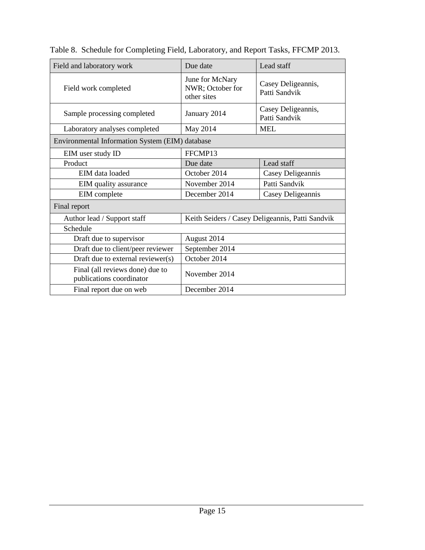| Field and laboratory work                                   | Due date                                           | Lead staff                          |  |  |
|-------------------------------------------------------------|----------------------------------------------------|-------------------------------------|--|--|
| Field work completed                                        | June for McNary<br>NWR; October for<br>other sites | Casey Deligeannis,<br>Patti Sandvik |  |  |
| Sample processing completed                                 | January 2014                                       | Casey Deligeannis,<br>Patti Sandvik |  |  |
| Laboratory analyses completed                               | May 2014                                           | <b>MEL</b>                          |  |  |
| Environmental Information System (EIM) database             |                                                    |                                     |  |  |
| EIM user study ID                                           | FFCMP13                                            |                                     |  |  |
| Product                                                     | Due date                                           | Lead staff                          |  |  |
| EIM data loaded                                             | October 2014                                       | Casey Deligeannis                   |  |  |
| EIM quality assurance                                       | November 2014                                      | Patti Sandvik                       |  |  |
| EIM complete                                                | December 2014                                      | Casey Deligeannis                   |  |  |
| Final report                                                |                                                    |                                     |  |  |
| Author lead / Support staff                                 | Keith Seiders / Casey Deligeannis, Patti Sandvik   |                                     |  |  |
| Schedule                                                    |                                                    |                                     |  |  |
| Draft due to supervisor                                     | August 2014                                        |                                     |  |  |
| Draft due to client/peer reviewer                           | September 2014                                     |                                     |  |  |
| Draft due to external reviewer(s)                           | October 2014                                       |                                     |  |  |
| Final (all reviews done) due to<br>publications coordinator | November 2014                                      |                                     |  |  |
| Final report due on web                                     | December 2014                                      |                                     |  |  |

<span id="page-14-0"></span>Table 8. Schedule for Completing Field, Laboratory, and Report Tasks, FFCMP 2013.